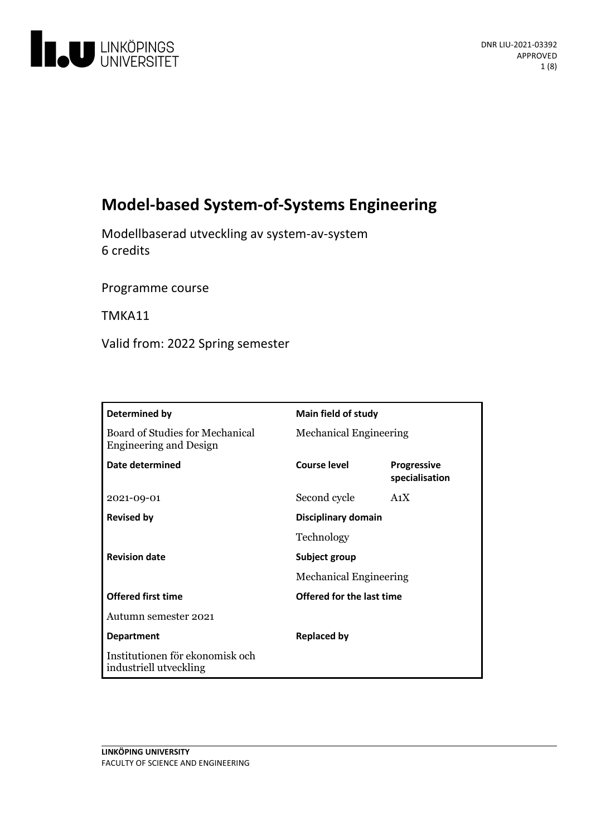

# **Model-based System-of-SystemsEngineering**

Modellbaserad utvecklingav system-av-system 6 credits

Programme course

TMKA11

Valid from: 2022 Spring semester

| Determined by                                                    | Main field of study                            |                                      |
|------------------------------------------------------------------|------------------------------------------------|--------------------------------------|
| Board of Studies for Mechanical<br><b>Engineering and Design</b> | <b>Mechanical Engineering</b>                  |                                      |
| Date determined                                                  | <b>Course level</b>                            | <b>Progressive</b><br>specialisation |
| 2021-09-01                                                       | Second cycle                                   | A <sub>1</sub> X                     |
| <b>Revised by</b>                                                | Disciplinary domain                            |                                      |
|                                                                  | Technology                                     |                                      |
| <b>Revision date</b>                                             | Subject group<br><b>Mechanical Engineering</b> |                                      |
|                                                                  |                                                |                                      |
| <b>Offered first time</b>                                        | Offered for the last time                      |                                      |
| Autumn semester 2021                                             |                                                |                                      |
| <b>Department</b>                                                | <b>Replaced by</b>                             |                                      |
| Institutionen för ekonomisk och<br>industriell utveckling        |                                                |                                      |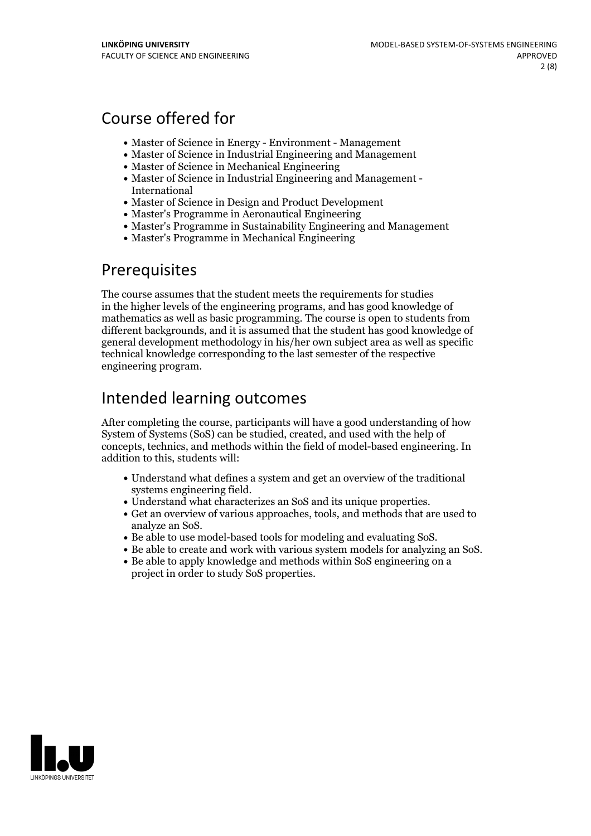## Course offered for

- Master of Science in Energy Environment Management
- Master of Science in Industrial Engineering and Management
- Master of Science in Mechanical Engineering
- Master of Science in Industrial Engineering and Management International
- Master of Science in Design and Product Development
- Master's Programme in Aeronautical Engineering
- Master's Programme in Sustainability Engineering and Management
- Master's Programme in Mechanical Engineering

## Prerequisites

The course assumes that the student meets the requirements for studies in the higher levels of the engineering programs, and has good knowledge of mathematics as well as basic programming. The course is open to students from different backgrounds, and it is assumed that the student has good knowledge of general development methodology in his/her own subject area as well as specific technical knowledge corresponding to the last semester of the respective engineering program.

# Intended learning outcomes

After completing the course, participants will have a good understanding of how System of Systems (SoS) can be studied, created, and used with the help of concepts, technics, and methods within the field of model-based engineering. In addition to this, students will:

- Understand what defines a system and getan overview of the traditional
- 
- systems engineering field.<br>
Understand what characterizes an SoS and its unique properties.<br>
Get an overview of various approaches, tools, and methods that are used to analyze an SoS.
- 
- Be able to use model-based tools for modeling and evaluating SoS. Be able to create and work with various system models for analyzing an SoS. Be able to apply knowledge and methods within SoS engineering on <sup>a</sup>
- project in order to study SoS properties.

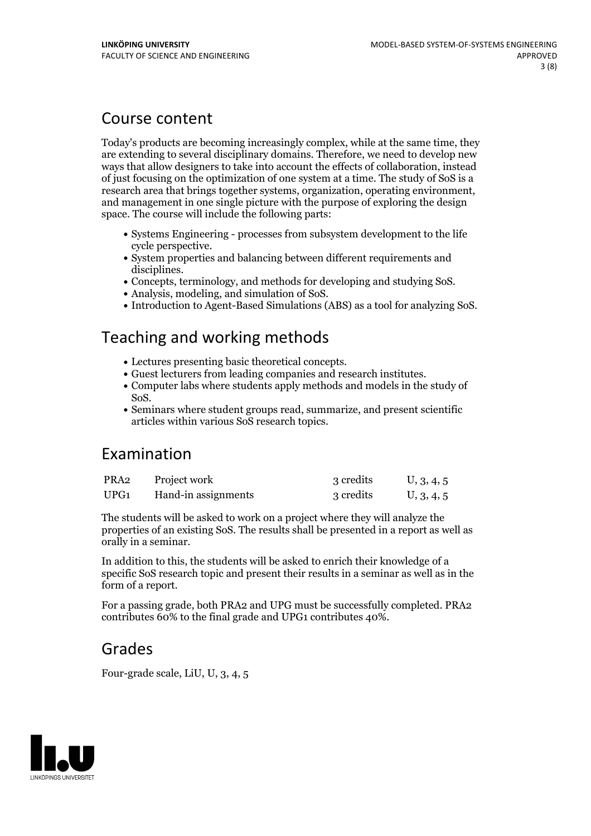## Course content

Today's products are becoming increasingly complex, while at the same time, they are extending to several disciplinary domains. Therefore, we need to develop new ways that allow designers to take into account the effects of collaboration, instead of just focusing on the optimization of one system at a time. The study of SoS isa research area that brings together systems, organization, operating environment, and management in one single picture with the purpose ofexploring the design space. The course will include the following parts:

- Systems Engineering processes from subsystem development to the life cycle perspective.<br>• System properties and balancing between different requirements and
- 
- disciplines.<br>
Concepts, terminology, and methods for developing and studying SoS.<br>
Analysis, modeling, and simulation of SoS.<br>
Introduction to Agent-Based Simulations (ABS) as a tool for analyzing SoS.
- 
- 

## Teaching and working methods

- 
- 
- Lectures presenting basic theoretical concepts. Guest lecturers from leading companies and research institutes. Computer labs where students apply methods and models in the study of SoS. Seminars where student groups read, summarize, and present scientific
- articles within various SoS research topics.

## Examination

| PRA2 | Project work        | 3 credits | U, 3, 4, 5 |
|------|---------------------|-----------|------------|
| UPG1 | Hand-in assignments | 3 credits | U, 3, 4, 5 |

The students will be asked to work on a project where they will analyze the properties of an existing SoS. The results shall be presented in a report as well as orally in a seminar.

In addition to this, the students will be asked to enrich their knowledge of a specific SoS research topic and present their results in a seminar as well as in the form of a report.

For a passing grade, both PRA2 and UPG must be successfully completed. PRA2 contributes 60% to the final grade and UPG1 contributes 40%.

## Grades

Four-grade scale, LiU, U, 3, 4, 5

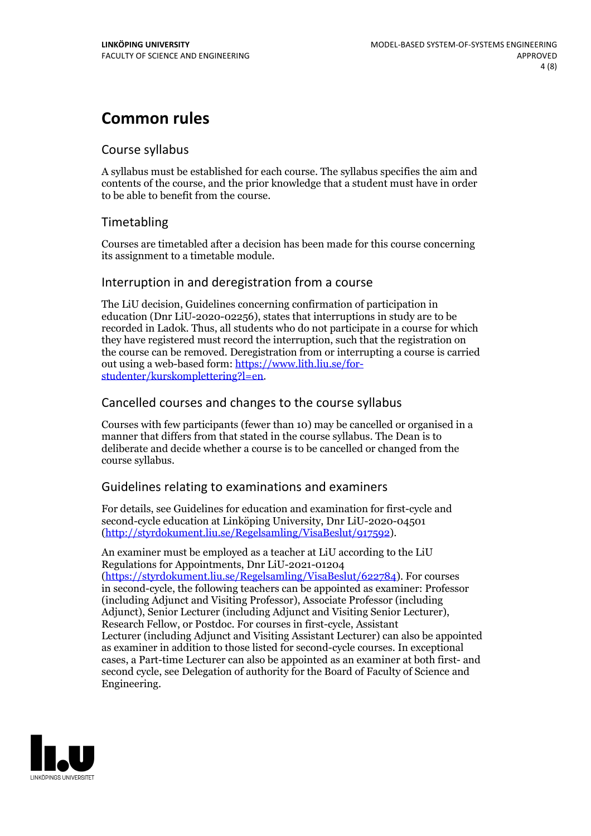# **Common rules**

### Course syllabus

A syllabus must be established for each course. The syllabus specifies the aim and contents of the course, and the prior knowledge that a student must have in order to be able to benefit from the course.

## Timetabling

Courses are timetabled after a decision has been made for this course concerning its assignment to a timetable module.

### Interruption in and deregistration from a course

The LiU decision, Guidelines concerning confirmation of participation in education (Dnr LiU-2020-02256), states that interruptions in study are to be recorded in Ladok. Thus, all students who do not participate in a course for which they have registered must record the interruption, such that the registration on the course can be removed. Deregistration from or interrupting a course is carried out using <sup>a</sup> web-based form: https://www.lith.liu.se/for- [studenter/kurskomplettering?l=en.](https://www.lith.liu.se/for-studenter/kurskomplettering?l=en)

## Cancelled coursesand changes to the course syllabus

Courses with few participants (fewer than 10) may be cancelled or organised in a manner that differs from that stated in the course syllabus. The Dean is to deliberate and decide whether a course is to be cancelled or changed from the course syllabus.

## Guidelines relating to examinations and examiners

For details, see Guidelines for education and examination for first-cycle and second-cycle education at Linköping University, Dnr LiU-2020-04501 [\(http://styrdokument.liu.se/Regelsamling/VisaBeslut/917592\)](http://styrdokument.liu.se/Regelsamling/VisaBeslut/917592).

An examiner must be employed as a teacher at LiU according to the LiU Regulations for Appointments, Dnr LiU-2021-01204 [\(https://styrdokument.liu.se/Regelsamling/VisaBeslut/622784](https://styrdokument.liu.se/Regelsamling/VisaBeslut/622784)). For courses in second-cycle, the following teachers can be appointed as examiner: Professor (including Adjunct and Visiting Professor), Associate Professor (including Adjunct), Senior Lecturer (including Adjunct and Visiting Senior Lecturer), Research Fellow, or Postdoc. For courses in first-cycle, Assistant Lecturer (including Adjunct and Visiting Assistant Lecturer) can also be appointed as examiner in addition to those listed for second-cycle courses. In exceptional cases, a Part-time Lecturer can also be appointed as an examiner at both first- and second cycle, see Delegation of authority for the Board of Faculty of Science and Engineering.

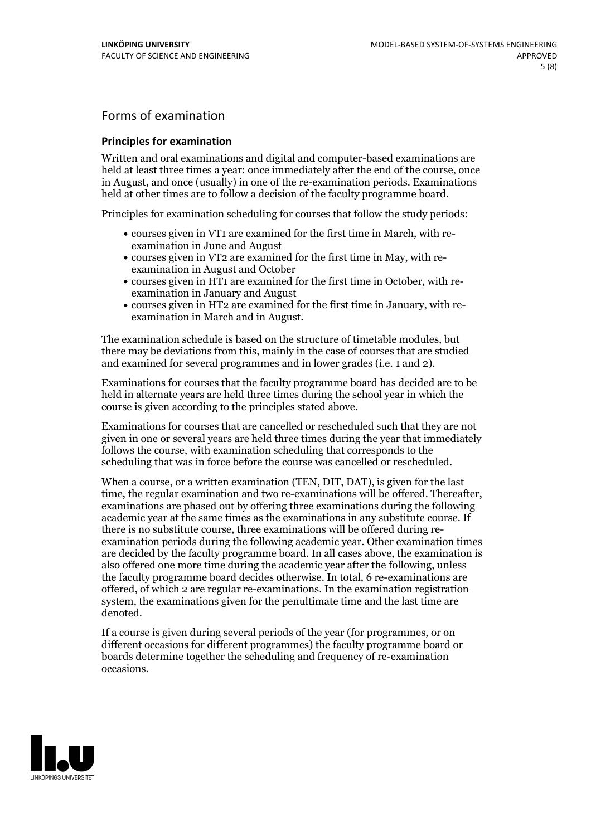## Forms of examination

#### **Principles for examination**

Written and oral examinations and digital and computer-based examinations are held at least three times a year: once immediately after the end of the course, once in August, and once (usually) in one of the re-examination periods. Examinations held at other times are to follow a decision of the faculty programme board.

Principles for examination scheduling for courses that follow the study periods:

- courses given in VT1 are examined for the first time in March, with re-examination in June and August
- courses given in VT2 are examined for the first time in May, with re-examination in August and October
- courses given in HT1 are examined for the first time in October, with re-examination in January and August
- courses given in HT2 are examined for the first time in January, with re-examination in March and in August.

The examination schedule is based on the structure of timetable modules, but there may be deviations from this, mainly in the case of courses that are studied and examined for several programmes and in lower grades (i.e. 1 and 2).

Examinations for courses that the faculty programme board has decided are to be held in alternate years are held three times during the school year in which the course is given according to the principles stated above.

Examinations for courses that are cancelled orrescheduled such that they are not given in one or several years are held three times during the year that immediately follows the course, with examination scheduling that corresponds to the scheduling that was in force before the course was cancelled or rescheduled.

When a course, or a written examination (TEN, DIT, DAT), is given for the last time, the regular examination and two re-examinations will be offered. Thereafter, examinations are phased out by offering three examinations during the following academic year at the same times as the examinations in any substitute course. If there is no substitute course, three examinations will be offered during re- examination periods during the following academic year. Other examination times are decided by the faculty programme board. In all cases above, the examination is also offered one more time during the academic year after the following, unless the faculty programme board decides otherwise. In total, 6 re-examinations are offered, of which 2 are regular re-examinations. In the examination registration system, the examinations given for the penultimate time and the last time are denoted.

If a course is given during several periods of the year (for programmes, or on different occasions for different programmes) the faculty programme board or boards determine together the scheduling and frequency of re-examination occasions.

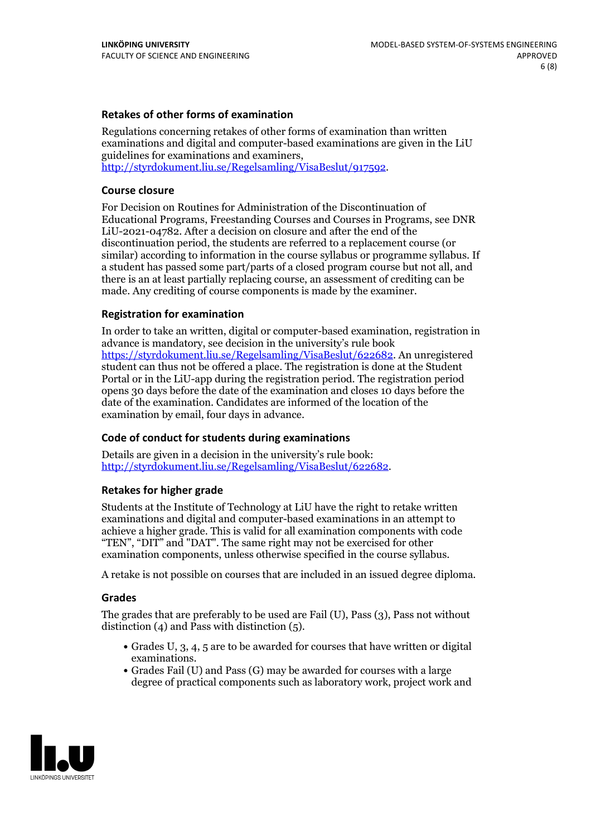### **Retakes of other forms of examination**

Regulations concerning retakes of other forms of examination than written examinations and digital and computer-based examinations are given in the LiU guidelines for examinations and examiners, [http://styrdokument.liu.se/Regelsamling/VisaBeslut/917592.](http://styrdokument.liu.se/Regelsamling/VisaBeslut/917592)

#### **Course closure**

For Decision on Routines for Administration of the Discontinuation of Educational Programs, Freestanding Courses and Courses in Programs, see DNR LiU-2021-04782. After a decision on closure and after the end of the discontinuation period, the students are referred to a replacement course (or similar) according to information in the course syllabus or programme syllabus. If a student has passed some part/parts of a closed program course but not all, and there is an at least partially replacing course, an assessment of crediting can be made. Any crediting of course components is made by the examiner.

### **Registration for examination**

In order to take an written, digital or computer-based examination, registration in advance is mandatory, see decision in the university's rule book [https://styrdokument.liu.se/Regelsamling/VisaBeslut/622682.](https://styrdokument.liu.se/Regelsamling/VisaBeslut/622682) An unregistered student can thus not be offered a place. The registration is done at the Student Portal or in the LiU-app during the registration period. The registration period opens 30 days before the date of the examination and closes 10 days before the date of the examination. Candidates are informed of the location of the examination by email, four days in advance.

### **Code of conduct for students during examinations**

Details are given in a decision in the university's rule book: <http://styrdokument.liu.se/Regelsamling/VisaBeslut/622682>.

#### **Retakes for higher grade**

Students at the Institute of Technology at LiU have the right to retake written examinations and digital and computer-based examinations in an attempt to achieve a higher grade. This is valid for all examination components with code "TEN", "DIT" and "DAT". The same right may not be exercised for other examination components, unless otherwise specified in the course syllabus.

A retake is not possible on courses that are included in an issued degree diploma.

#### **Grades**

The grades that are preferably to be used are Fail (U), Pass (3), Pass not without distinction  $(4)$  and Pass with distinction  $(5)$ .

- Grades U, 3, 4, 5 are to be awarded for courses that have written or digital examinations.<br>• Grades Fail (U) and Pass (G) may be awarded for courses with a large
- degree of practical components such as laboratory work, project work and

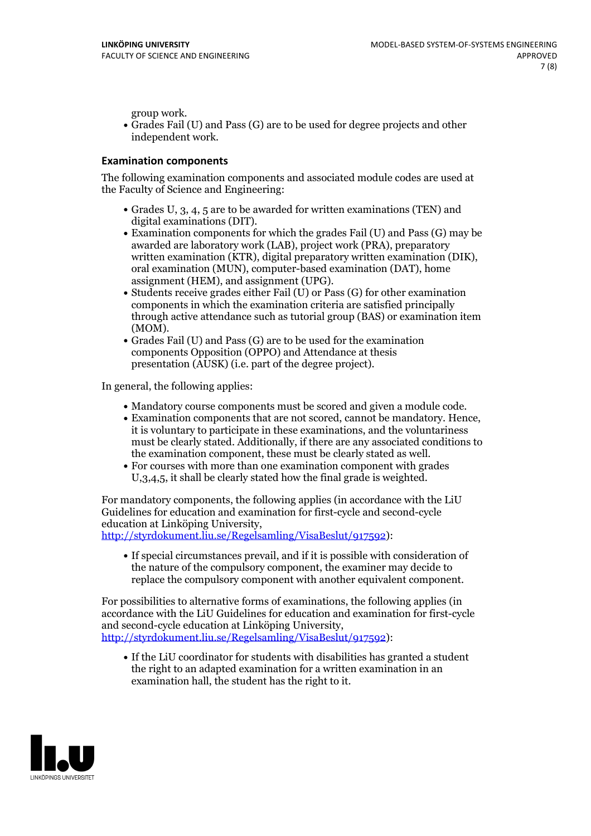group work.<br>• Grades Fail (U) and Pass (G) are to be used for degree projects and other independent work.

#### **Examination components**

The following examination components and associated module codes are used at the Faculty of Science and Engineering:

- Grades U, 3, 4, 5 are to be awarded for written examinations (TEN) and
- digital examinations (DIT).<br>• Examination components for which the grades Fail (U) and Pass (G) may be awarded are laboratory work (LAB), project work (PRA), preparatory written examination (KTR), digital preparatory written examination (DIK), oral examination (MUN), computer-based examination (DAT), home
- assignment (HEM), and assignment (UPG).<br>• Students receive grades either Fail (U) or Pass (G) for other examination components in which the examination criteria are satisfied principally through active attendance such as tutorial group (BAS) or examination item
- (MOM).<br>• Grades Fail (U) and Pass (G) are to be used for the examination components Opposition (OPPO) and Attendance at thesis presentation (AUSK) (i.e. part of the degree project).

In general, the following applies:

- 
- Mandatory course components must be scored and given <sup>a</sup> module code. Examination components that are not scored, cannot be mandatory. Hence, it is voluntary to participate in these examinations, and the voluntariness must be clearly stated. Additionally, if there are any associated conditions to
- the examination component, these must be clearly stated as well.<br>• For courses with more than one examination component with grades U,3,4,5, it shall be clearly stated how the final grade is weighted.

For mandatory components, the following applies (in accordance with the LiU Guidelines for education and examination for first-cycle and second-cycle

[http://styrdokument.liu.se/Regelsamling/VisaBeslut/917592\)](http://styrdokument.liu.se/Regelsamling/VisaBeslut/917592):

If special circumstances prevail, and if it is possible with consideration of the nature of the compulsory component, the examiner may decide to replace the compulsory component with another equivalent component.

For possibilities to alternative forms of examinations, the following applies (in accordance with the LiU Guidelines for education and examination for first-cycle [http://styrdokument.liu.se/Regelsamling/VisaBeslut/917592\)](http://styrdokument.liu.se/Regelsamling/VisaBeslut/917592):

If the LiU coordinator for students with disabilities has granted a student the right to an adapted examination for a written examination in an examination hall, the student has the right to it.